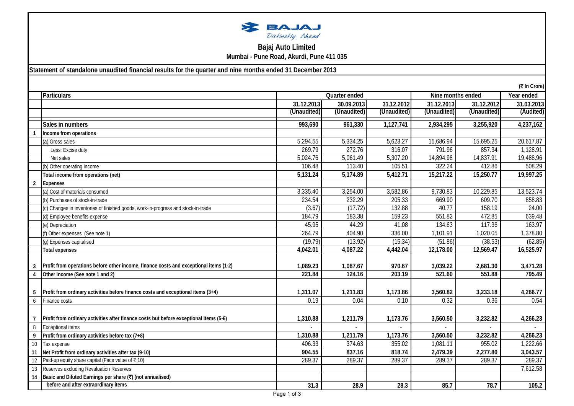

## **Bajaj Auto Limited Mumbai - Pune Road, Akurdi, Pune 411 035**

**Statement of standalone unaudited financial results for the quarter and nine months ended 31 December 2013**

|                 | (₹ In Crore)                                                                           |             |             |             |             |             |            |
|-----------------|----------------------------------------------------------------------------------------|-------------|-------------|-------------|-------------|-------------|------------|
|                 | Particulars                                                                            |             | Year ended  |             |             |             |            |
|                 |                                                                                        | 31.12.2013  | 30.09.2013  | 31.12.2012  | 31.12.2013  | 31.12.2012  | 31.03.2013 |
|                 |                                                                                        | (Unaudited) | (Unaudited) | (Unaudited) | (Unaudited) | (Unaudited) | (Audited)  |
|                 | Sales in numbers                                                                       | 993,690     | 961,330     | 1,127,741   | 2,934,295   | 3,255,920   | 4,237,162  |
|                 | Income from operations                                                                 |             |             |             |             |             |            |
|                 | (a) Gross sales                                                                        | 5,294.55    | 5,334.25    | 5,623.27    | 15,686.94   | 15,695.25   | 20,617.87  |
|                 | Less: Excise duty                                                                      | 269.79      | 272.76      | 316.07      | 791.96      | 857.34      | 1,128.91   |
|                 | Net sales                                                                              | 5,024.76    | 5,061.49    | 5,307.20    | 14,894.98   | 14,837.91   | 19,488.96  |
|                 | (b) Other operating income                                                             | 106.48      | 113.40      | 105.51      | 322.24      | 412.86      | 508.29     |
|                 | Total income from operations (net)                                                     | 5,131.24    | 5,174.89    | 5,412.71    | 15,217.22   | 15,250.77   | 19,997.25  |
| $\overline{2}$  | <b>Expenses</b>                                                                        |             |             |             |             |             |            |
|                 | (a) Cost of materials consumed                                                         | 3,335.40    | 3,254.00    | 3,582.86    | 9,730.83    | 10,229.85   | 13,523.74  |
|                 | (b) Purchases of stock-in-trade                                                        | 234.54      | 232.29      | 205.33      | 669.90      | 609.70      | 858.83     |
|                 | (c) Changes in inventories of finished goods, work-in-progress and stock-in-trade      | (3.67)      | (17.72)     | 132.88      | 40.77       | 158.19      | 24.00      |
|                 | (d) Employee benefits expense                                                          | 184.79      | 183.38      | 159.23      | 551.82      | 472.85      | 639.48     |
|                 | (e) Depreciation                                                                       | 45.95       | 44.29       | 41.08       | 134.63      | 117.36      | 163.97     |
|                 | (f) Other expenses (See note 1)                                                        | 264.79      | 404.90      | 336.00      | 1,101.91    | 1,020.05    | 1,378.80   |
|                 | (g) Expenses capitalised                                                               | (19.79)     | (13.92)     | (15.34)     | (51.86)     | (38.53)     | (62.85)    |
|                 | <b>Total expenses</b>                                                                  | 4,042.01    | 4,087.22    | 4,442.04    | 12,178.00   | 12,569.47   | 16,525.97  |
|                 |                                                                                        |             |             |             |             |             |            |
|                 | Profit from operations before other income, finance costs and exceptional items (1-2)  | 1,089.23    | 1,087.67    | 970.67      | 3,039.22    | 2,681.30    | 3,471.28   |
| 4               | Other income (See note 1 and 2)                                                        | 221.84      | 124.16      | 203.19      | 521.60      | 551.88      | 795.49     |
|                 |                                                                                        |             |             |             |             |             |            |
|                 | Profit from ordinary activities before finance costs and exceptional items (3+4)       | 1,311.07    | 1,211.83    | 1,173.86    | 3,560.82    | 3,233.18    | 4,266.77   |
| 6               | Finance costs                                                                          | 0.19        | 0.04        | 0.10        | 0.32        | 0.36        | 0.54       |
|                 |                                                                                        |             |             |             |             |             |            |
| 7               | Profit from ordinary activities after finance costs but before exceptional items (5-6) | 1,310.88    | 1,211.79    | 1,173.76    | 3,560.50    | 3,232.82    | 4,266.23   |
| 8               | Exceptional items                                                                      |             |             |             |             |             |            |
| 9               | Profit from ordinary activities before tax (7+8)                                       | 1,310.88    | 1,211.79    | 1,173.76    | 3,560.50    | 3,232.82    | 4,266.23   |
| 10 <sup>°</sup> | Tax expense                                                                            | 406.33      | 374.63      | 355.02      | 1,081.11    | 955.02      | 1,222.66   |
| 11              | Net Profit from ordinary activities after tax (9-10)                                   | 904.55      | 837.16      | 818.74      | 2,479.39    | 2,277.80    | 3,043.57   |
| 12              | Paid-up equity share capital (Face value of ₹ 10)                                      | 289.37      | 289.37      | 289.37      | 289.37      | 289.37      | 289.37     |
| 13              | Reserves excluding Revaluation Reserves                                                |             |             |             |             |             | 7,612.58   |
| 14              | Basic and Diluted Earnings per share (₹) (not annualised)                              |             |             |             |             |             |            |
|                 | before and after extraordinary items                                                   | 31.3        | 28.9        | 28.3        | 85.7        | 78.7        | 105.2      |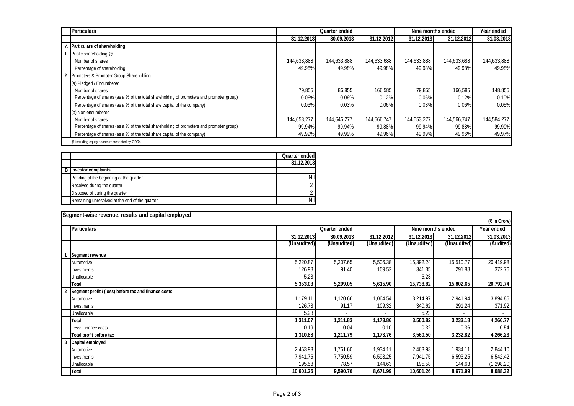| <b>Particulars</b>                                                                      |             | Nine months ended<br>Quarter ended |             |             |             | Year ended  |
|-----------------------------------------------------------------------------------------|-------------|------------------------------------|-------------|-------------|-------------|-------------|
|                                                                                         | 31.12.2013  | 30.09.2013                         | 31.12.2012  | 31.12.2013  | 31.12.2012  | 31.03.2013  |
| A Particulars of shareholding                                                           |             |                                    |             |             |             |             |
| Public shareholding @                                                                   |             |                                    |             |             |             |             |
| Number of shares                                                                        | 144,633,888 | 144,633,888                        | 144,633,688 | 144,633,888 | 144,633,688 | 144,633,888 |
| Percentage of shareholding                                                              | 49.98%      | 49.98%                             | 49.98%      | 49.98%      | 49.98%      | 49.98%      |
| 2 Promoters & Promoter Group Shareholding                                               |             |                                    |             |             |             |             |
| (a) Pledged / Encumbered                                                                |             |                                    |             |             |             |             |
| Number of shares                                                                        | 79.855      | 86,855                             | 166,585     | 79.855      | 166.585     | 148,855     |
| Percentage of shares (as a % of the total shareholding of promoters and promoter group) | 0.06%       | 0.06%                              | 0.12%       | 0.06%       | 0.12%       | 0.10%       |
| Percentage of shares (as a % of the total share capital of the company)                 | 0.03%       | 0.03%                              | 0.06%       | 0.03%       | 0.06%       | 0.05%       |
| (b) Non-encumbered                                                                      |             |                                    |             |             |             |             |
| Number of shares                                                                        | 144,653,277 | 144.646.277                        | 144,566,747 | 144,653,277 | 144,566,747 | 144,584,277 |
| Percentage of shares (as a % of the total shareholding of promoters and promoter group) | 99.94%      | 99.94%                             | 99.88%      | 99.94%      | 99.88%      | 99.90%      |
| Percentage of shares (as a % of the total share capital of the company)                 | 49.99%      | 49.99%                             | 49.96%      | 49.99%      | 49.96%      | 49.97%      |
| @ including equity shares represented by GDRs.                                          |             |                                    |             |             |             |             |

|                                                | Quarter ended |
|------------------------------------------------|---------------|
|                                                | 31.12.2013    |
| <b>B</b> Investor complaints                   |               |
| Pending at the beginning of the quarter        | <b>Nil</b>    |
| Received during the quarter                    |               |
| Disposed of during the quarter                 |               |
| Remaining unresolved at the end of the quarter | Nil           |

| Segment-wise revenue, results and capital employed   |                                    |                          |             |             |             |              |
|------------------------------------------------------|------------------------------------|--------------------------|-------------|-------------|-------------|--------------|
|                                                      |                                    |                          |             |             |             | (₹ In Crore) |
| <b>Particulars</b>                                   | Nine months ended<br>Quarter ended |                          |             |             |             | Year ended   |
|                                                      | 31.12.2013                         | 30.09.2013               | 31.12.2012  | 31.12.2013  | 31.12.2012  | 31.03.2013   |
|                                                      | (Unaudited)                        | (Unaudited)              | (Unaudited) | (Unaudited) | (Unaudited) | (Audited)    |
| Segment revenue                                      |                                    |                          |             |             |             |              |
| Automotive                                           | 5,220.87                           | 5,207.65                 | 5,506.38    | 15,392.24   | 15,510.77   | 20,419.98    |
| Investments                                          | 126.98                             | 91.40                    | 109.52      | 341.35      | 291.88      | 372.76       |
| Unallocable                                          | 5.23                               |                          |             | 5.23        |             |              |
| <b>Total</b>                                         | 5,353.08                           | 5,299.05                 | 5,615.90    | 15,738.82   | 15,802.65   | 20,792.74    |
| Segment profit / (loss) before tax and finance costs |                                    |                          |             |             |             |              |
| Automotive                                           | 1.179.11                           | 1,120.66                 | 1,064.54    | 3,214.97    | 2,941.94    | 3,894.85     |
| Investments                                          | 126.73                             | 91.17                    | 109.32      | 340.62      | 291.24      | 371.92       |
| Unallocable                                          | 5.23                               | $\overline{\phantom{a}}$ |             | 5.23        |             |              |
| <b>Total</b>                                         | 1,311.07                           | 1,211.83                 | 1,173.86    | 3,560.82    | 3,233.18    | 4,266.77     |
| Less: Finance costs                                  | 0.19                               | 0.04                     | 0.10        | 0.32        | 0.36        | 0.54         |
| Total profit before tax                              | 1,310.88                           | 1,211.79                 | 1,173.76    | 3,560.50    | 3,232.82    | 4,266.23     |
| Capital employed                                     |                                    |                          |             |             |             |              |
| Automotive                                           | 2,463.93                           | 1,761.60                 | 1,934.11    | 2,463.93    | 1,934.11    | 2,844.10     |
| Investments                                          | 7,941.75                           | 7,750.59                 | 6,593.25    | 7,941.75    | 6,593.25    | 6,542.42     |
| Unallocable                                          | 195.58                             | 78.57                    | 144.63      | 195.58      | 144.63      | (1, 298.20)  |
| <b>Total</b>                                         | 10,601.26                          | 9,590.76                 | 8,671.99    | 10,601.26   | 8,671.99    | 8,088.32     |